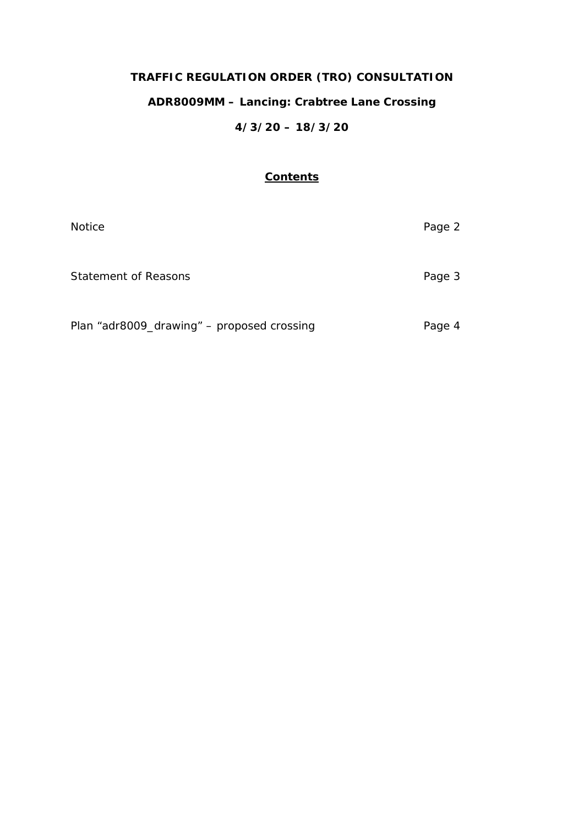# **TRAFFIC REGULATION ORDER (TRO) CONSULTATION ADR8009MM – Lancing: Crabtree Lane Crossing 4/3/20 – 18/3/20**

# **Contents**

| <b>Notice</b>                              | Page 2 |
|--------------------------------------------|--------|
| Statement of Reasons                       | Page 3 |
| Plan "adr8009_drawing" - proposed crossing | Page 4 |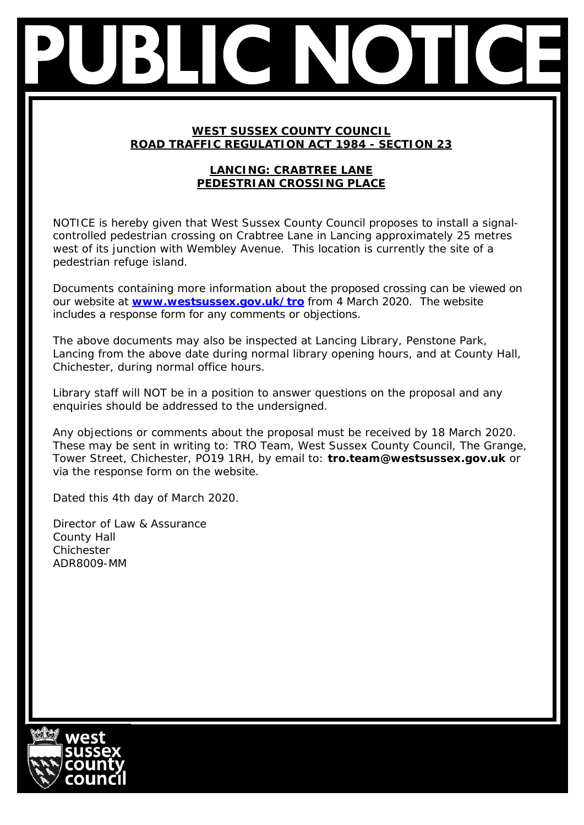# **WEST SUSSEX COUNTY COUNCIL ROAD TRAFFIC REGULATION ACT 1984 - SECTION 23**

# **LANCING: CRABTREE LANE PEDESTRIAN CROSSING PLACE**

NOTICE is hereby given that West Sussex County Council proposes to install a signalcontrolled pedestrian crossing on Crabtree Lane in Lancing approximately 25 metres west of its junction with Wembley Avenue. This location is currently the site of a pedestrian refuge island.

Documents containing more information about the proposed crossing can be viewed on our website at **[www.westsussex.gov.uk/tro](http://www.westsussex.gov.uk/tro)** from 4 March 2020. The website includes a response form for any comments or objections.

The above documents may also be inspected at Lancing Library, Penstone Park, Lancing from the above date during normal library opening hours, and at County Hall, Chichester, during normal office hours.

Library staff will NOT be in a position to answer questions on the proposal and any enquiries should be addressed to the undersigned.

Any objections or comments about the proposal must be received by 18 March 2020. These may be sent in writing to: TRO Team, West Sussex County Council, The Grange, Tower Street, Chichester, PO19 1RH, by email to: **tro.team@westsussex.gov.uk** or via the response form on the website.

Dated this 4th day of March 2020.

Director of Law & Assurance County Hall Chichester ADR8009-MM

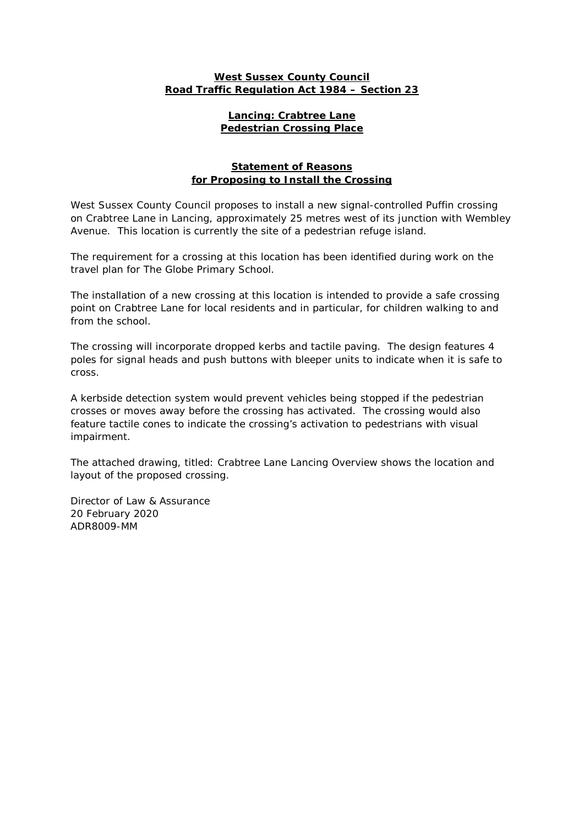### **West Sussex County Council Road Traffic Regulation Act 1984 – Section 23**

#### **Lancing: Crabtree Lane Pedestrian Crossing Place**

### **Statement of Reasons for Proposing to Install the Crossing**

West Sussex County Council proposes to install a new signal-controlled Puffin crossing on Crabtree Lane in Lancing, approximately 25 metres west of its junction with Wembley Avenue. This location is currently the site of a pedestrian refuge island.

The requirement for a crossing at this location has been identified during work on the travel plan for The Globe Primary School.

The installation of a new crossing at this location is intended to provide a safe crossing point on Crabtree Lane for local residents and in particular, for children walking to and from the school.

The crossing will incorporate dropped kerbs and tactile paving. The design features 4 poles for signal heads and push buttons with bleeper units to indicate when it is safe to cross.

A kerbside detection system would prevent vehicles being stopped if the pedestrian crosses or moves away before the crossing has activated. The crossing would also feature tactile cones to indicate the crossing's activation to pedestrians with visual impairment.

The attached drawing, titled: Crabtree Lane Lancing Overview shows the location and layout of the proposed crossing.

Director of Law & Assurance 20 February 2020 ADR8009-MM